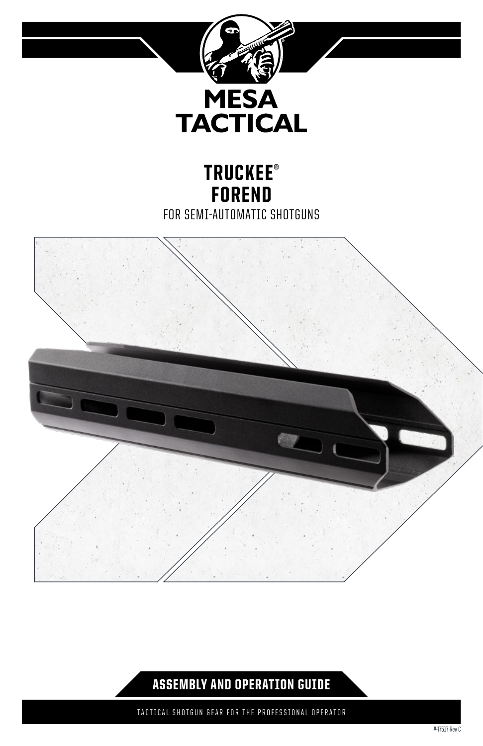

# TRUCKEE® FOREND FOR SEMI-AUTOMATIC SHOTGUNS



# ASSEMBLY AND OPERATION GUIDE

TACTICAL SHOTGUN GEAR FOR THE PROFESSIONAL OPERATOR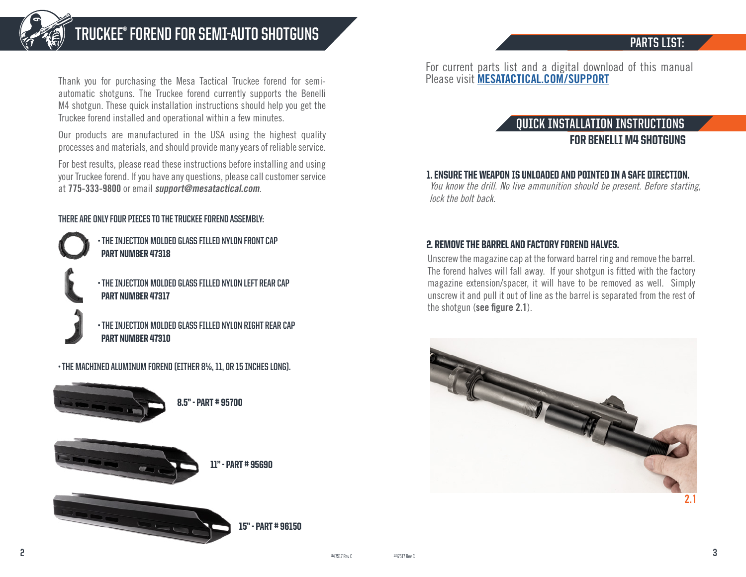

# **TRUCKEE® FOREND FOR SEMI-AUTO SHOTGUNS**

# **PARTS LIST:**

Thank you for purchasing the Mesa Tactical Truckee forend for semiautomatic shotguns. The Truckee forend currently supports the Benelli M4 shotgun. These quick installation instructions should help you get the Truckee forend installed and operational within a few minutes.

Our products are manufactured in the USA using the highest quality processes and materials, and should provide many years of reliable service.

For best results, please read these instructions before installing and using your Truckee forend. If you have any questions, please call customer service at **775-333-9800** or email **support@mesatactical.com**.

**THERE ARE ONLY FOUR PIECES TO THE TRUCKEE FOREND ASSEMBLY:**

- **THE INJECTION MOLDED GLASS FILLED NYLON FRONT CAP**  PART NUMBER 47318
- **THE INJECTION MOLDED GLASS FILLED NYLON LEFT REAR CAP** PART NUMBER 47317

**• THE INJECTION MOLDED GLASS FILLED NYLON RIGHT REAR CAP** PART NUMBER 47310

**• THE MACHINED ALUMINUM FOREND (EITHER 8½, 11, OR 15 INCHES LONG).**



For current parts list and a digital download of this manual Please visit **MESATACTICAL.COM/SUPPORT** 

# **QUICK INSTALLATION INSTRUCTIONS** FOR BENELLI M4 SHOTGUNS

### 1. ENSURE THE WEAPON IS UNLOADED AND POINTED IN A SAFE DIRECTION.

You know the drill. No live ammunition should be present. Before starting, lock the bolt back.

### 2. REMOVE THE BARREL AND FACTORY FOREND HALVES.

Unscrew the magazine cap at the forward barrel ring and remove the barrel. The forend halves will fall away. If your shotgun is fitted with the factory magazine extension/spacer, it will have to be removed as well. Simply unscrew it and pull it out of line as the barrel is separated from the rest of the shotgun (**see figure 2.1**).

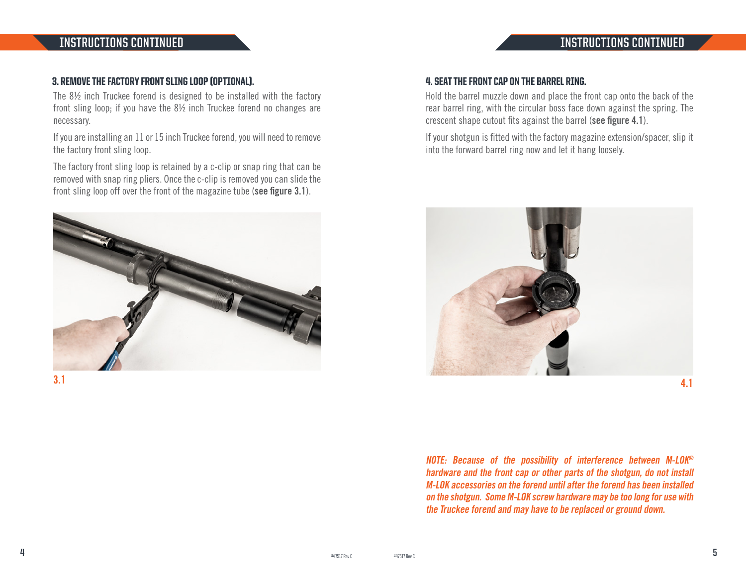# **INSTRUCTIONS CONTINUED INSTRUCTIONS CONTINUED**

#### 3. REMOVE THE FACTORY FRONT SLING LOOP (OPTIONAL).

The 8½ inch Truckee forend is designed to be installed with the factory front sling loop; if you have the 8½ inch Truckee forend no changes are necessary.

If you are installing an 11 or 15 inch Truckee forend, you will need to remove the factory front sling loop.

The factory front sling loop is retained by a c-clip or snap ring that can be removed with snap ring pliers. Once the c-clip is removed you can slide the front sling loop off over the front of the magazine tube (**see figure 3.1**).



**3.1**

#### 4. SEAT THE FRONT CAP ON THE BARREL RING.

Hold the barrel muzzle down and place the front cap onto the back of the rear barrel ring, with the circular boss face down against the spring. The crescent shape cutout fits against the barrel (**see figure 4.1**).

If your shotgun is fitted with the factory magazine extension/spacer, slip it into the forward barrel ring now and let it hang loosely.



**NOTE: Because of the possibility of interference between M-LOK® hardware and the front cap or other parts of the shotgun, do not install M-LOK accessories on the forend until after the forend has been installed on the shotgun. Some M-LOK screw hardware may be too long for use with the Truckee forend and may have to be replaced or ground down.**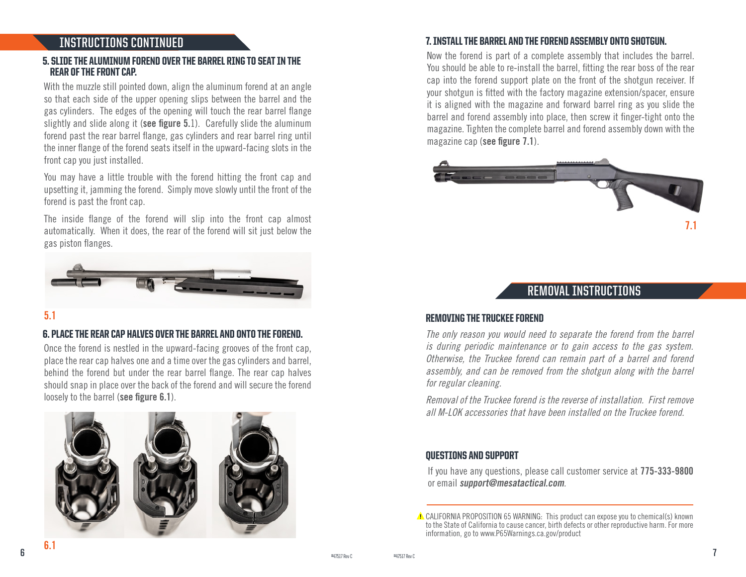#### 5. SLIDE THE ALUMINUM FOREND OVER THE BARREL RING TO SEAT IN THE REAR OF THE FRONT CAP.

With the muzzle still pointed down, align the aluminum forend at an angle so that each side of the upper opening slips between the barrel and the gas cylinders. The edges of the opening will touch the rear barrel flange slightly and slide along it (**see figure 5.**1). Carefully slide the aluminum forend past the rear barrel flange, gas cylinders and rear barrel ring until the inner flange of the forend seats itself in the upward-facing slots in the front cap you just installed.

You may have a little trouble with the forend hitting the front cap and upsetting it, jamming the forend. Simply move slowly until the front of the forend is past the front cap.

The inside flange of the forend will slip into the front cap almost automatically. When it does, the rear of the forend will sit just below the gas piston flanges.



### **5.1**

#### 6. PLACE THE REAR CAP HALVES OVER THE BARREL AND ONTO THE FOREND.

Once the forend is nestled in the upward-facing grooves of the front cap, place the rear cap halves one and a time over the gas cylinders and barrel, behind the forend but under the rear barrel flange. The rear cap halves should snap in place over the back of the forend and will secure the forend loosely to the barrel (**see figure 6.1**).



#### 7. INSTALL THE BARREL AND THE FOREND ASSEMBLY ONTO SHOTGUN. **INSTRUCTIONS CONTINUED**

Now the forend is part of a complete assembly that includes the barrel. You should be able to re-install the barrel, fitting the rear boss of the rear cap into the forend support plate on the front of the shotgun receiver. If your shotgun is fitted with the factory magazine extension/spacer, ensure it is aligned with the magazine and forward barrel ring as you slide the barrel and forend assembly into place, then screw it finger-tight onto the magazine. Tighten the complete barrel and forend assembly down with the magazine cap (**see figure 7.1**).



## **REMOVAL INSTRUCTIONS**

#### REMOVING THE TRUCKEE FOREND

The only reason you would need to separate the forend from the barrel is during periodic maintenance or to gain access to the gas system. Otherwise, the Truckee forend can remain part of a barrel and forend assembly, and can be removed from the shotgun along with the barrel for regular cleaning.

Removal of the Truckee forend is the reverse of installation. First remove all M-LOK accessories that have been installed on the Truckee forend.

#### QUESTIONS AND SUPPORT

If you have any questions, please call customer service at **775-333-9800** or email **support@mesatactical.com**.

 $\triangle$  CALIFORNIA PROPOSITION 65 WARNING: This product can expose you to chemical(s) known to the State of California to cause cancer, birth defects or other reproductive harm. For more information, go to www.P65Warnings.ca.gov/product